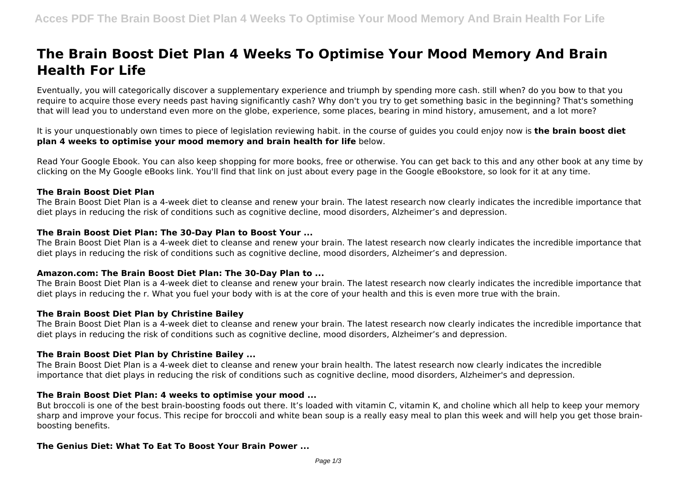# **The Brain Boost Diet Plan 4 Weeks To Optimise Your Mood Memory And Brain Health For Life**

Eventually, you will categorically discover a supplementary experience and triumph by spending more cash. still when? do you bow to that you require to acquire those every needs past having significantly cash? Why don't you try to get something basic in the beginning? That's something that will lead you to understand even more on the globe, experience, some places, bearing in mind history, amusement, and a lot more?

It is your unquestionably own times to piece of legislation reviewing habit. in the course of guides you could enjoy now is **the brain boost diet plan 4 weeks to optimise your mood memory and brain health for life** below.

Read Your Google Ebook. You can also keep shopping for more books, free or otherwise. You can get back to this and any other book at any time by clicking on the My Google eBooks link. You'll find that link on just about every page in the Google eBookstore, so look for it at any time.

# **The Brain Boost Diet Plan**

The Brain Boost Diet Plan is a 4-week diet to cleanse and renew your brain. The latest research now clearly indicates the incredible importance that diet plays in reducing the risk of conditions such as cognitive decline, mood disorders, Alzheimer's and depression.

# **The Brain Boost Diet Plan: The 30-Day Plan to Boost Your ...**

The Brain Boost Diet Plan is a 4-week diet to cleanse and renew your brain. The latest research now clearly indicates the incredible importance that diet plays in reducing the risk of conditions such as cognitive decline, mood disorders, Alzheimer's and depression.

# **Amazon.com: The Brain Boost Diet Plan: The 30-Day Plan to ...**

The Brain Boost Diet Plan is a 4-week diet to cleanse and renew your brain. The latest research now clearly indicates the incredible importance that diet plays in reducing the r. What you fuel your body with is at the core of your health and this is even more true with the brain.

#### **The Brain Boost Diet Plan by Christine Bailey**

The Brain Boost Diet Plan is a 4-week diet to cleanse and renew your brain. The latest research now clearly indicates the incredible importance that diet plays in reducing the risk of conditions such as cognitive decline, mood disorders, Alzheimer's and depression.

# **The Brain Boost Diet Plan by Christine Bailey ...**

The Brain Boost Diet Plan is a 4-week diet to cleanse and renew your brain health. The latest research now clearly indicates the incredible importance that diet plays in reducing the risk of conditions such as cognitive decline, mood disorders, Alzheimer's and depression.

# **The Brain Boost Diet Plan: 4 weeks to optimise your mood ...**

But broccoli is one of the best brain-boosting foods out there. It's loaded with vitamin C, vitamin K, and choline which all help to keep your memory sharp and improve your focus. This recipe for broccoli and white bean soup is a really easy meal to plan this week and will help you get those brainboosting benefits.

# **The Genius Diet: What To Eat To Boost Your Brain Power ...**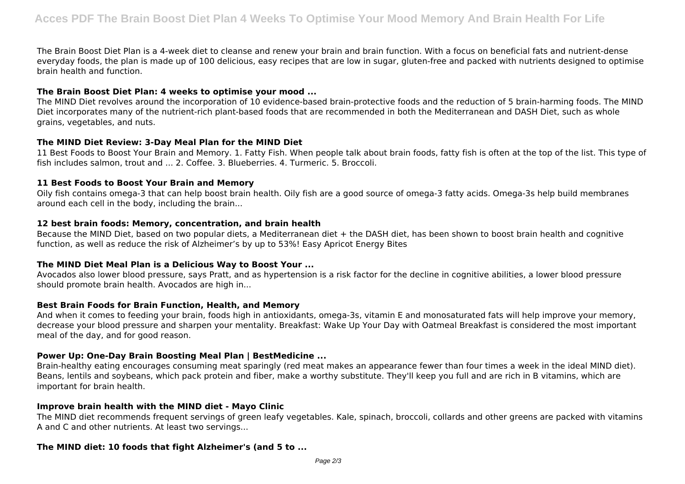The Brain Boost Diet Plan is a 4-week diet to cleanse and renew your brain and brain function. With a focus on beneficial fats and nutrient-dense everyday foods, the plan is made up of 100 delicious, easy recipes that are low in sugar, gluten-free and packed with nutrients designed to optimise brain health and function.

## **The Brain Boost Diet Plan: 4 weeks to optimise your mood ...**

The MIND Diet revolves around the incorporation of 10 evidence-based brain-protective foods and the reduction of 5 brain-harming foods. The MIND Diet incorporates many of the nutrient-rich plant-based foods that are recommended in both the Mediterranean and DASH Diet, such as whole grains, vegetables, and nuts.

#### **The MIND Diet Review: 3-Day Meal Plan for the MIND Diet**

11 Best Foods to Boost Your Brain and Memory. 1. Fatty Fish. When people talk about brain foods, fatty fish is often at the top of the list. This type of fish includes salmon, trout and ... 2. Coffee. 3. Blueberries. 4. Turmeric. 5. Broccoli.

#### **11 Best Foods to Boost Your Brain and Memory**

Oily fish contains omega-3 that can help boost brain health. Oily fish are a good source of omega-3 fatty acids. Omega-3s help build membranes around each cell in the body, including the brain...

#### **12 best brain foods: Memory, concentration, and brain health**

Because the MIND Diet, based on two popular diets, a Mediterranean diet + the DASH diet, has been shown to boost brain health and cognitive function, as well as reduce the risk of Alzheimer's by up to 53%! Easy Apricot Energy Bites

# **The MIND Diet Meal Plan is a Delicious Way to Boost Your ...**

Avocados also lower blood pressure, says Pratt, and as hypertension is a risk factor for the decline in cognitive abilities, a lower blood pressure should promote brain health. Avocados are high in...

#### **Best Brain Foods for Brain Function, Health, and Memory**

And when it comes to feeding your brain, foods high in antioxidants, omega-3s, vitamin E and monosaturated fats will help improve your memory, decrease your blood pressure and sharpen your mentality. Breakfast: Wake Up Your Day with Oatmeal Breakfast is considered the most important meal of the day, and for good reason.

# **Power Up: One-Day Brain Boosting Meal Plan | BestMedicine ...**

Brain-healthy eating encourages consuming meat sparingly (red meat makes an appearance fewer than four times a week in the ideal MIND diet). Beans, lentils and soybeans, which pack protein and fiber, make a worthy substitute. They'll keep you full and are rich in B vitamins, which are important for brain health.

#### **Improve brain health with the MIND diet - Mayo Clinic**

The MIND diet recommends frequent servings of green leafy vegetables. Kale, spinach, broccoli, collards and other greens are packed with vitamins A and C and other nutrients. At least two servings...

#### **The MIND diet: 10 foods that fight Alzheimer's (and 5 to ...**